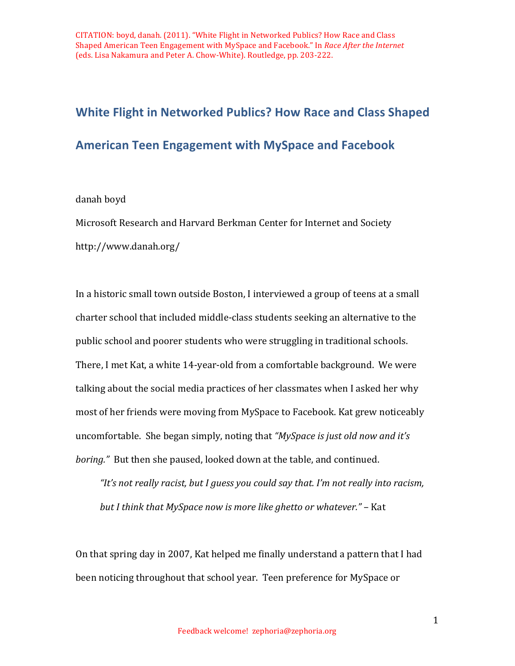# **White Flight in Networked Publics? How Race and Class Shaped American Teen Engagement with MySpace and Facebook**

## danah boyd

Microsoft Research and Harvard Berkman Center for Internet and Society http://www.danah.org/

In a historic small town outside Boston, I interviewed a group of teens at a small charter school that included middle-class students seeking an alternative to the public school and poorer students who were struggling in traditional schools. There, I met Kat, a white 14-year-old from a comfortable background. We were talking about the social media practices of her classmates when I asked her why most of her friends were moving from MySpace to Facebook. Kat grew noticeably uncomfortable. She began simply, noting that "MySpace is just old now and it's *boring.*" But then she paused, looked down at the table, and continued.

"It's not really racist, but I guess you could say that. I'm not really into racism, *but I think that MySpace now is more like ghetto or whatever."* – Kat

On that spring day in 2007, Kat helped me finally understand a pattern that I had been noticing throughout that school year. Teen preference for MySpace or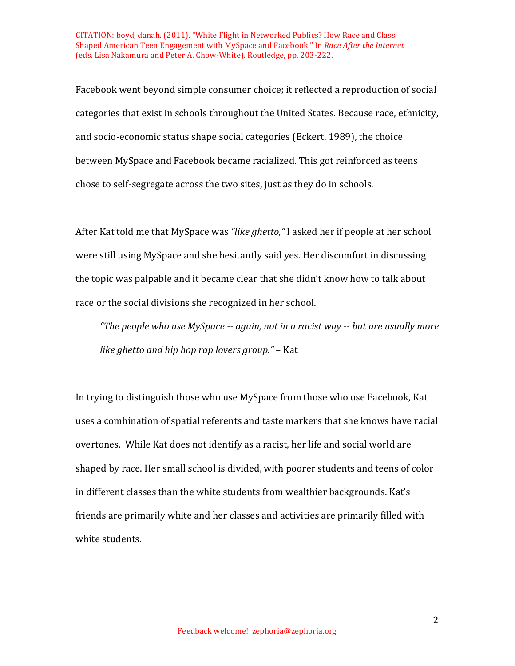Facebook went beyond simple consumer choice; it reflected a reproduction of social categories that exist in schools throughout the United States. Because race, ethnicity, and socio-economic status shape social categories (Eckert, 1989), the choice between MySpace and Facebook became racialized. This got reinforced as teens chose to self-segregate across the two sites, just as they do in schools.

After Kat told me that MySpace was *"like ghetto,"* I asked her if people at her school were still using MySpace and she hesitantly said ves. Her discomfort in discussing the topic was palpable and it became clear that she didn't know how to talk about race or the social divisions she recognized in her school.

*"The people who use MySpace -- again, not in a racist way -- but are usually more like ghetto and hip hop rap lovers group."* – Kat

In trying to distinguish those who use MySpace from those who use Facebook, Kat uses a combination of spatial referents and taste markers that she knows have racial overtones. While Kat does not identify as a racist, her life and social world are shaped by race. Her small school is divided, with poorer students and teens of color in different classes than the white students from wealthier backgrounds. Kat's friends are primarily white and her classes and activities are primarily filled with white students.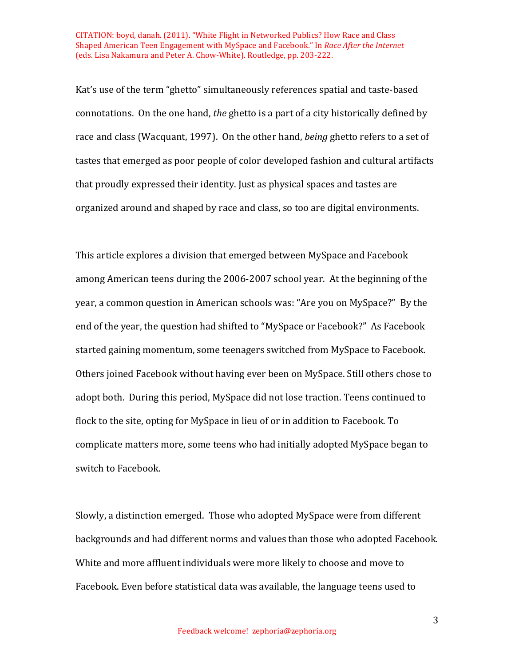Kat's use of the term "ghetto" simultaneously references spatial and taste-based connotations. On the one hand, *the* ghetto is a part of a city historically defined by race and class (Wacquant, 1997). On the other hand, *being* ghetto refers to a set of tastes that emerged as poor people of color developed fashion and cultural artifacts that proudly expressed their identity. Just as physical spaces and tastes are organized around and shaped by race and class, so too are digital environments.

This article explores a division that emerged between MySpace and Facebook among American teens during the 2006-2007 school year. At the beginning of the year, a common question in American schools was: "Are you on MySpace?" By the end of the year, the question had shifted to "MySpace or Facebook?" As Facebook started gaining momentum, some teenagers switched from MySpace to Facebook. Others joined Facebook without having ever been on MySpace. Still others chose to adopt both. During this period, MySpace did not lose traction. Teens continued to flock to the site, opting for MySpace in lieu of or in addition to Facebook. To complicate matters more, some teens who had initially adopted MySpace began to switch to Facebook.

Slowly, a distinction emerged. Those who adopted MySpace were from different backgrounds and had different norms and values than those who adopted Facebook. White and more affluent individuals were more likely to choose and move to Facebook. Even before statistical data was available, the language teens used to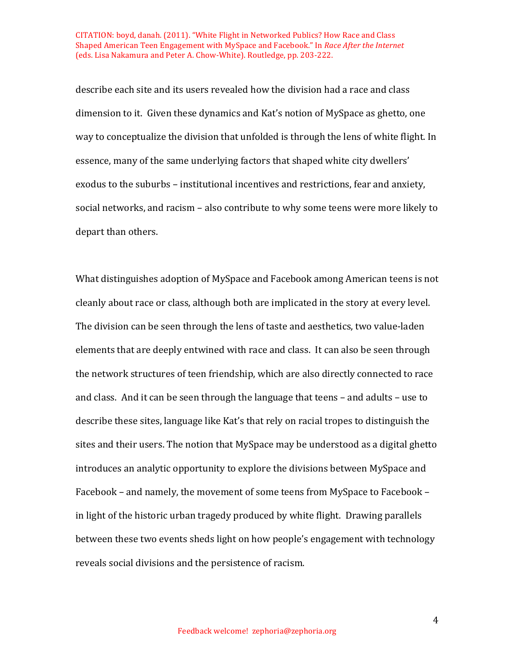describe each site and its users revealed how the division had a race and class dimension to it. Given these dynamics and Kat's notion of MySpace as ghetto, one way to conceptualize the division that unfolded is through the lens of white flight. In essence, many of the same underlying factors that shaped white city dwellers' exodus to the suburbs – institutional incentives and restrictions, fear and anxiety, social networks, and racism - also contribute to why some teens were more likely to depart than others.

What distinguishes adoption of MySpace and Facebook among American teens is not cleanly about race or class, although both are implicated in the story at every level. The division can be seen through the lens of taste and aesthetics, two value-laden elements that are deeply entwined with race and class. It can also be seen through the network structures of teen friendship, which are also directly connected to race and class. And it can be seen through the language that teens  $-$  and adults  $-$  use to describe these sites, language like Kat's that rely on racial tropes to distinguish the sites and their users. The notion that MySpace may be understood as a digital ghetto introduces an analytic opportunity to explore the divisions between MySpace and Facebook – and namely, the movement of some teens from MySpace to Facebook – in light of the historic urban tragedy produced by white flight. Drawing parallels between these two events sheds light on how people's engagement with technology reveals social divisions and the persistence of racism.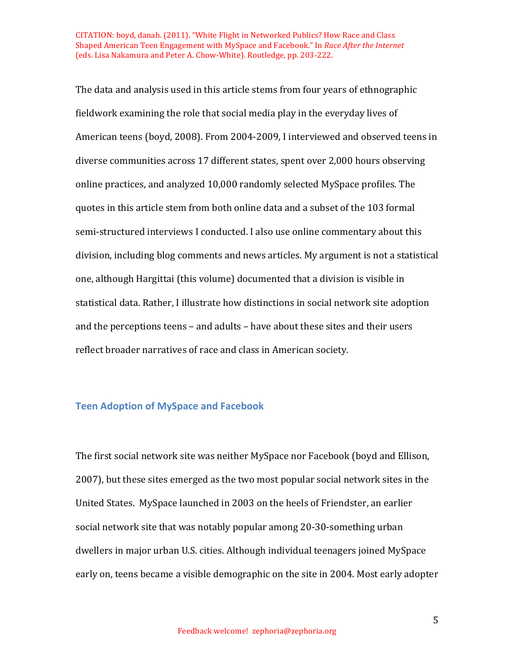The data and analysis used in this article stems from four years of ethnographic fieldwork examining the role that social media play in the everyday lives of American teens (boyd, 2008). From 2004-2009, I interviewed and observed teens in diverse communities across 17 different states, spent over 2,000 hours observing online practices, and analyzed 10,000 randomly selected MySpace profiles. The quotes in this article stem from both online data and a subset of the 103 formal semi-structured interviews I conducted. I also use online commentary about this division, including blog comments and news articles. My argument is not a statistical one, although Hargittai (this volume) documented that a division is visible in statistical data. Rather, I illustrate how distinctions in social network site adoption and the perceptions teens – and adults – have about these sites and their users reflect broader narratives of race and class in American society.

## **Teen Adoption of MySpace and Facebook**

The first social network site was neither MySpace nor Facebook (boyd and Ellison, 2007), but these sites emerged as the two most popular social network sites in the United States. MySpace launched in 2003 on the heels of Friendster, an earlier social network site that was notably popular among 20-30-something urban dwellers in major urban U.S. cities. Although individual teenagers joined MySpace early on, teens became a visible demographic on the site in 2004. Most early adopter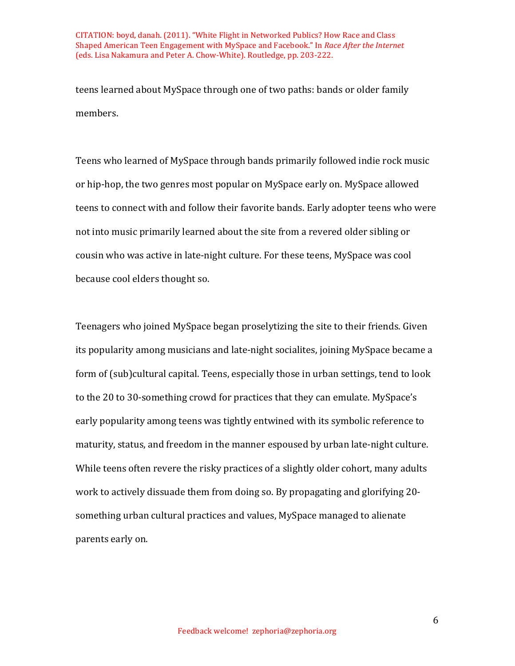teens learned about MySpace through one of two paths: bands or older family members.

Teens who learned of MySpace through bands primarily followed indie rock music or hip-hop, the two genres most popular on MySpace early on. MySpace allowed teens to connect with and follow their favorite bands. Early adopter teens who were not into music primarily learned about the site from a revered older sibling or cousin who was active in late-night culture. For these teens, MySpace was cool because cool elders thought so.

Teenagers who joined MySpace began proselytizing the site to their friends. Given its popularity among musicians and late-night socialites, joining MySpace became a form of (sub)cultural capital. Teens, especially those in urban settings, tend to look to the 20 to 30-something crowd for practices that they can emulate. MySpace's early popularity among teens was tightly entwined with its symbolic reference to maturity, status, and freedom in the manner espoused by urban late-night culture. While teens often revere the risky practices of a slightly older cohort, many adults work to actively dissuade them from doing so. By propagating and glorifying 20something urban cultural practices and values, MySpace managed to alienate parents early on.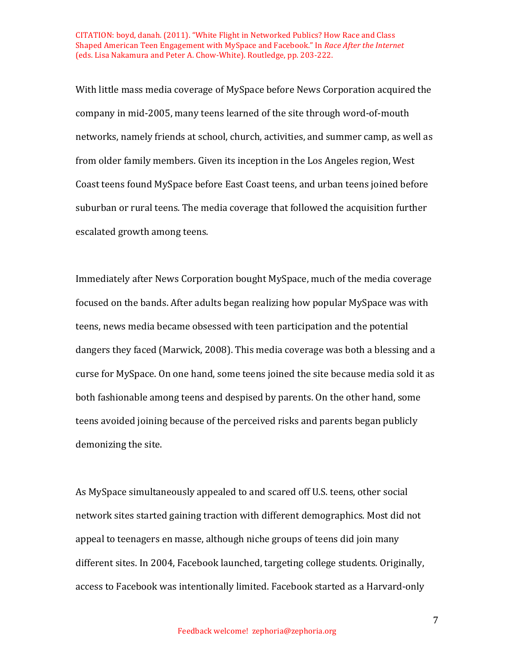With little mass media coverage of MySpace before News Corporation acquired the company in mid-2005, many teens learned of the site through word-of-mouth networks, namely friends at school, church, activities, and summer camp, as well as from older family members. Given its inception in the Los Angeles region, West Coast teens found MySpace before East Coast teens, and urban teens joined before suburban or rural teens. The media coverage that followed the acquisition further escalated growth among teens.

Immediately after News Corporation bought MySpace, much of the media coverage focused on the bands. After adults began realizing how popular MySpace was with teens, news media became obsessed with teen participation and the potential dangers they faced (Marwick, 2008). This media coverage was both a blessing and a curse for MySpace. On one hand, some teens joined the site because media sold it as both fashionable among teens and despised by parents. On the other hand, some teens avoided joining because of the perceived risks and parents began publicly demonizing the site.

As MySpace simultaneously appealed to and scared off U.S. teens, other social network sites started gaining traction with different demographics. Most did not appeal to teenagers en masse, although niche groups of teens did join many different sites. In 2004, Facebook launched, targeting college students. Originally, access to Facebook was intentionally limited. Facebook started as a Harvard-only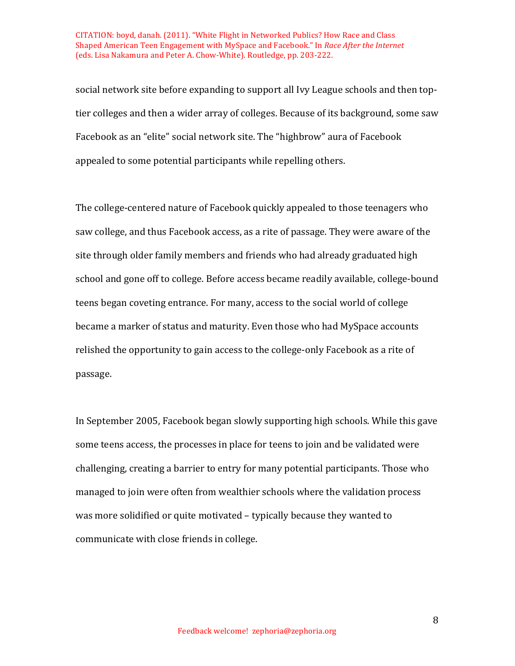social network site before expanding to support all Ivy League schools and then toptier colleges and then a wider array of colleges. Because of its background, some saw Facebook as an "elite" social network site. The "highbrow" aura of Facebook appealed to some potential participants while repelling others.

The college-centered nature of Facebook quickly appealed to those teenagers who saw college, and thus Facebook access, as a rite of passage. They were aware of the site through older family members and friends who had already graduated high school and gone off to college. Before access became readily available, college-bound teens began coveting entrance. For many, access to the social world of college became a marker of status and maturity. Even those who had MySpace accounts relished the opportunity to gain access to the college-only Facebook as a rite of passage.

In September 2005, Facebook began slowly supporting high schools. While this gave some teens access, the processes in place for teens to join and be validated were challenging, creating a barrier to entry for many potential participants. Those who managed to join were often from wealthier schools where the validation process was more solidified or quite motivated – typically because they wanted to communicate with close friends in college.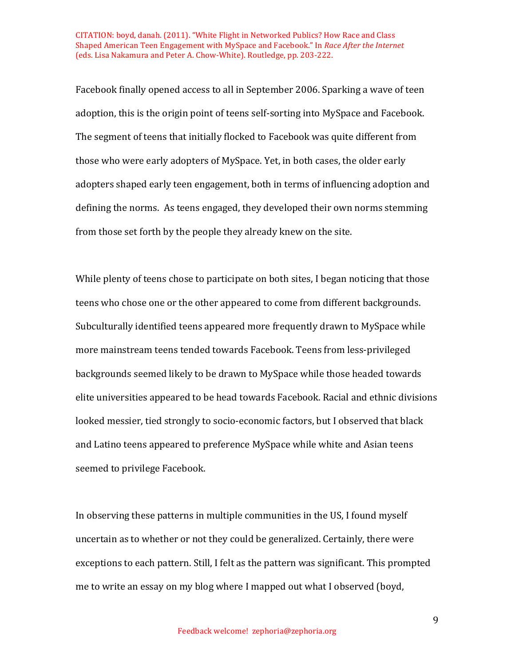Facebook finally opened access to all in September 2006. Sparking a wave of teen adoption, this is the origin point of teens self-sorting into MySpace and Facebook. The segment of teens that initially flocked to Facebook was quite different from those who were early adopters of MySpace. Yet, in both cases, the older early adopters shaped early teen engagement, both in terms of influencing adoption and defining the norms. As teens engaged, they developed their own norms stemming from those set forth by the people they already knew on the site.

While plenty of teens chose to participate on both sites, I began noticing that those teens who chose one or the other appeared to come from different backgrounds. Subculturally identified teens appeared more frequently drawn to MySpace while more mainstream teens tended towards Facebook. Teens from less-privileged backgrounds seemed likely to be drawn to MySpace while those headed towards elite universities appeared to be head towards Facebook. Racial and ethnic divisions looked messier, tied strongly to socio-economic factors, but I observed that black and Latino teens appeared to preference MySpace while white and Asian teens seemed to privilege Facebook.

In observing these patterns in multiple communities in the US, I found myself uncertain as to whether or not they could be generalized. Certainly, there were exceptions to each pattern. Still, I felt as the pattern was significant. This prompted me to write an essay on my blog where I mapped out what I observed (boyd,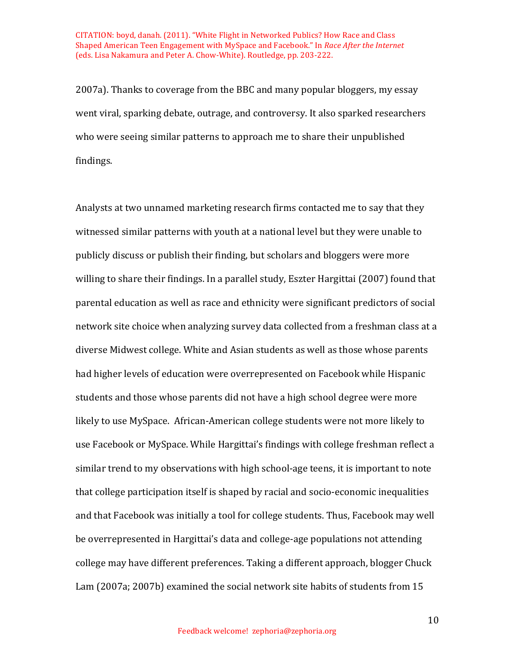2007a). Thanks to coverage from the BBC and many popular bloggers, my essay went viral, sparking debate, outrage, and controversy. It also sparked researchers who were seeing similar patterns to approach me to share their unpublished findings.

Analysts at two unnamed marketing research firms contacted me to say that they witnessed similar patterns with youth at a national level but they were unable to publicly discuss or publish their finding, but scholars and bloggers were more willing to share their findings. In a parallel study, Eszter Hargittai (2007) found that parental education as well as race and ethnicity were significant predictors of social network site choice when analyzing survey data collected from a freshman class at a diverse Midwest college. White and Asian students as well as those whose parents had higher levels of education were overrepresented on Facebook while Hispanic students and those whose parents did not have a high school degree were more likely to use MySpace. African-American college students were not more likely to use Facebook or MySpace. While Hargittai's findings with college freshman reflect a similar trend to my observations with high school-age teens, it is important to note that college participation itself is shaped by racial and socio-economic inequalities and that Facebook was initially a tool for college students. Thus, Facebook may well be overrepresented in Hargittai's data and college-age populations not attending college may have different preferences. Taking a different approach, blogger Chuck Lam (2007a; 2007b) examined the social network site habits of students from 15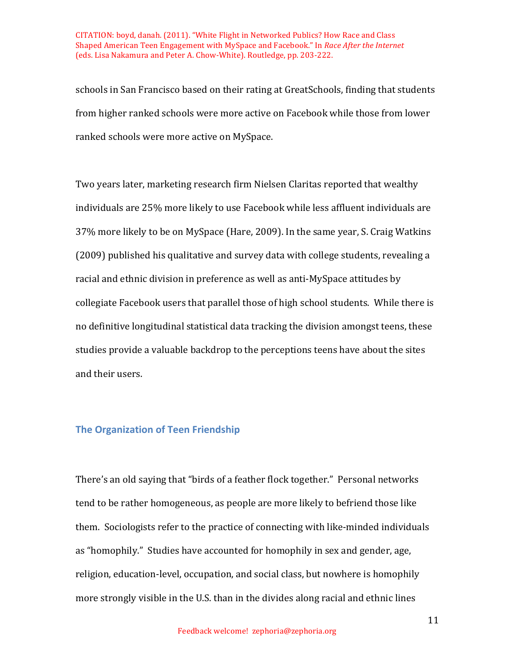schools in San Francisco based on their rating at GreatSchools, finding that students from higher ranked schools were more active on Facebook while those from lower ranked schools were more active on MySpace.

Two years later, marketing research firm Nielsen Claritas reported that wealthy individuals are 25% more likely to use Facebook while less affluent individuals are 37% more likely to be on MySpace (Hare, 2009). In the same year, S. Craig Watkins (2009) published his qualitative and survey data with college students, revealing a racial and ethnic division in preference as well as anti-MySpace attitudes by collegiate Facebook users that parallel those of high school students. While there is no definitive longitudinal statistical data tracking the division amongst teens, these studies provide a valuable backdrop to the perceptions teens have about the sites and their users.

## **The Organization of Teen Friendship**

There's an old saying that "birds of a feather flock together." Personal networks tend to be rather homogeneous, as people are more likely to befriend those like them. Sociologists refer to the practice of connecting with like-minded individuals as "homophily." Studies have accounted for homophily in sex and gender, age, religion, education-level, occupation, and social class, but nowhere is homophily more strongly visible in the U.S. than in the divides along racial and ethnic lines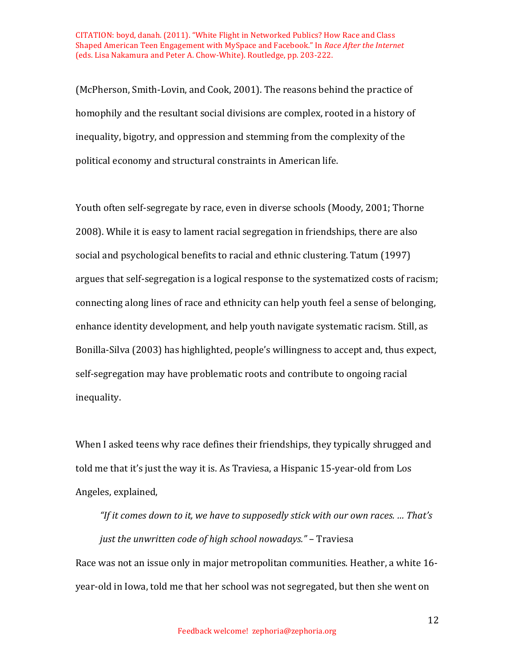(McPherson, Smith-Lovin, and Cook, 2001). The reasons behind the practice of homophily and the resultant social divisions are complex, rooted in a history of inequality, bigotry, and oppression and stemming from the complexity of the political economy and structural constraints in American life.

Youth often self-segregate by race, even in diverse schools (Moody, 2001; Thorne 2008). While it is easy to lament racial segregation in friendships, there are also social and psychological benefits to racial and ethnic clustering. Tatum (1997) argues that self-segregation is a logical response to the systematized costs of racism; connecting along lines of race and ethnicity can help youth feel a sense of belonging, enhance identity development, and help youth navigate systematic racism. Still, as Bonilla-Silva (2003) has highlighted, people's willingness to accept and, thus expect, self-segregation may have problematic roots and contribute to ongoing racial inequality. 

When I asked teens why race defines their friendships, they typically shrugged and told me that it's just the way it is. As Traviesa, a Hispanic 15-year-old from Los Angeles, explained,

*"If it comes down to it, we have to supposedly stick with our own races. ... That's just the unwritten code of high school nowadays."* – Traviesa Race was not an issue only in major metropolitan communities. Heather, a white 16year-old in Iowa, told me that her school was not segregated, but then she went on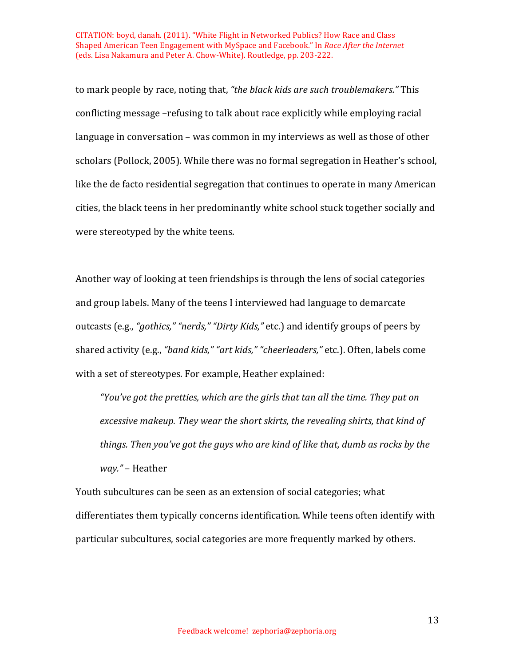to mark people by race, noting that, "the black kids are such troublemakers." This conflicting message -refusing to talk about race explicitly while employing racial language in conversation – was common in my interviews as well as those of other scholars (Pollock, 2005). While there was no formal segregation in Heather's school, like the de facto residential segregation that continues to operate in many American cities, the black teens in her predominantly white school stuck together socially and were stereotyped by the white teens.

Another way of looking at teen friendships is through the lens of social categories and group labels. Many of the teens I interviewed had language to demarcate outcasts (e.g., "*gothics,"* "nerds," "Dirty Kids," etc.) and identify groups of peers by shared activity (e.g., "band kids," "art kids," "cheerleaders," etc.). Often, labels come with a set of stereotypes. For example, Heather explained:

*"You've got the pretties, which are the girls that tan all the time. They put on* excessive makeup. They wear the short skirts, the revealing shirts, that kind of *things.* Then you've got the guys who are kind of like that, dumb as rocks by the *way."* – Heather 

Youth subcultures can be seen as an extension of social categories; what differentiates them typically concerns identification. While teens often identify with particular subcultures, social categories are more frequently marked by others.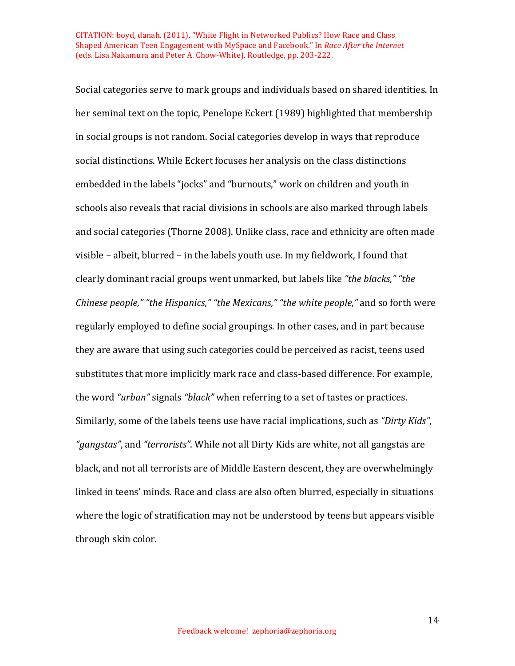Social categories serve to mark groups and individuals based on shared identities. In her seminal text on the topic, Penelope Eckert (1989) highlighted that membership in social groups is not random. Social categories develop in ways that reproduce social distinctions. While Eckert focuses her analysis on the class distinctions embedded in the labels "jocks" and "burnouts," work on children and youth in schools also reveals that racial divisions in schools are also marked through labels and social categories (Thorne 2008). Unlike class, race and ethnicity are often made visible  $-$  albeit, blurred  $-$  in the labels youth use. In my fieldwork, I found that clearly dominant racial groups went unmarked, but labels like "*the blacks,"* "*the Chinese people,"* "the Hispanics," "the Mexicans," "the white people," and so forth were regularly employed to define social groupings. In other cases, and in part because they are aware that using such categories could be perceived as racist, teens used substitutes that more implicitly mark race and class-based difference. For example, the word "*urban"* signals "*black*" when referring to a set of tastes or practices. Similarly, some of the labels teens use have racial implications, such as "Dirty Kids", "*gangstas*", and "*terrorists*". While not all Dirty Kids are white, not all gangstas are black, and not all terrorists are of Middle Eastern descent, they are overwhelmingly linked in teens' minds. Race and class are also often blurred, especially in situations where the logic of stratification may not be understood by teens but appears visible through skin color.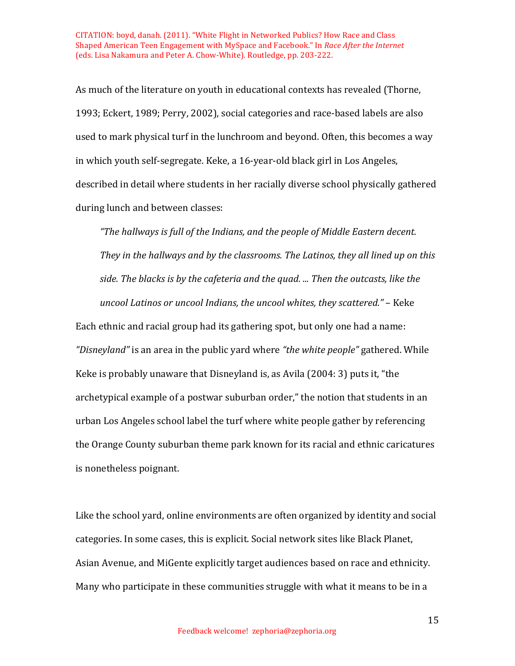As much of the literature on youth in educational contexts has revealed (Thorne, 1993; Eckert, 1989; Perry, 2002), social categories and race-based labels are also used to mark physical turf in the lunchroom and beyond. Often, this becomes a way in which youth self-segregate. Keke, a 16-year-old black girl in Los Angeles, described in detail where students in her racially diverse school physically gathered during lunch and between classes:

"The hallways is full of the Indians, and the people of Middle Eastern decent. *They* in the hallways and by the classrooms. The Latinos, they all lined up on this side. The blacks is by the cafeteria and the quad. ... Then the outcasts, like the *uncool Latinos or uncool Indians, the uncool whites, they scattered."* – Keke

Each ethnic and racial group had its gathering spot, but only one had a name: "Disneyland" is an area in the public yard where "the white people" gathered. While Keke is probably unaware that Disneyland is, as Avila  $(2004: 3)$  puts it, "the archetypical example of a postwar suburban order," the notion that students in an urban Los Angeles school label the turf where white people gather by referencing the Orange County suburban theme park known for its racial and ethnic caricatures is nonetheless poignant.

Like the school yard, online environments are often organized by identity and social categories. In some cases, this is explicit. Social network sites like Black Planet, Asian Avenue, and MiGente explicitly target audiences based on race and ethnicity. Many who participate in these communities struggle with what it means to be in a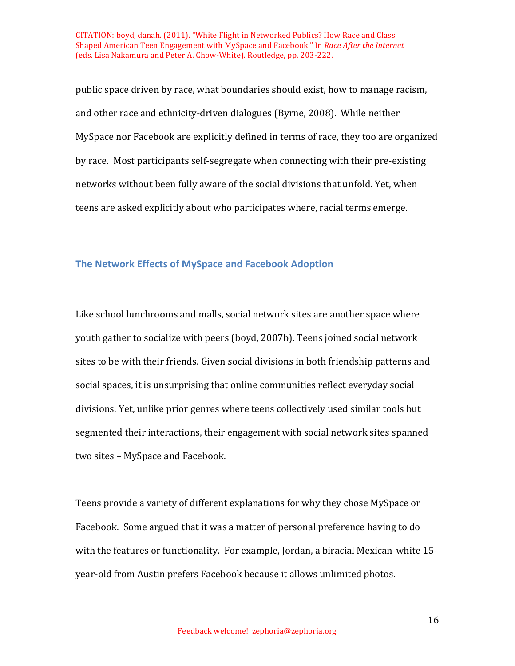public space driven by race, what boundaries should exist, how to manage racism, and other race and ethnicity-driven dialogues (Byrne, 2008). While neither MySpace nor Facebook are explicitly defined in terms of race, they too are organized by race. Most participants self-segregate when connecting with their pre-existing networks without been fully aware of the social divisions that unfold. Yet, when teens are asked explicitly about who participates where, racial terms emerge.

## **The Network Effects of MySpace and Facebook Adoption**

Like school lunchrooms and malls, social network sites are another space where youth gather to socialize with peers (boyd, 2007b). Teens joined social network sites to be with their friends. Given social divisions in both friendship patterns and social spaces, it is unsurprising that online communities reflect everyday social divisions. Yet, unlike prior genres where teens collectively used similar tools but segmented their interactions, their engagement with social network sites spanned two sites - MySpace and Facebook.

Teens provide a variety of different explanations for why they chose MySpace or Facebook. Some argued that it was a matter of personal preference having to do with the features or functionality. For example, Jordan, a biracial Mexican-white 15year-old from Austin prefers Facebook because it allows unlimited photos.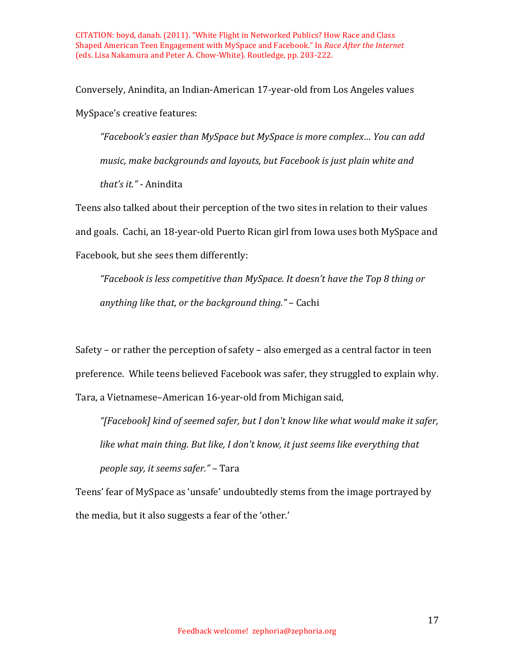Conversely, Anindita, an Indian-American 17-year-old from Los Angeles values MySpace's creative features:

"Facebook's easier than MySpace but MySpace is more complex... You can add music, make backgrounds and layouts, but Facebook is just plain white and that's it." - Anindita

Teens also talked about their perception of the two sites in relation to their values and goals. Cachi, an 18-year-old Puerto Rican girl from Iowa uses both MySpace and Facebook, but she sees them differently:

*"Facebook is less competitive than MySpace. It doesn't have the Top 8 thing or* anything like that, or the background thing." – Cachi

Safety – or rather the perception of safety – also emerged as a central factor in teen preference. While teens believed Facebook was safer, they struggled to explain why. Tara, a Vietnamese–American 16-year-old from Michigan said,

*"[Facebook] kind of seemed safer, but I don't know like what would make it safer, like* what main thing. But like, I don't know, it just seems like everything that *people say, it seems safer."* – Tara 

Teens' fear of MySpace as 'unsafe' undoubtedly stems from the image portrayed by the media, but it also suggests a fear of the 'other.'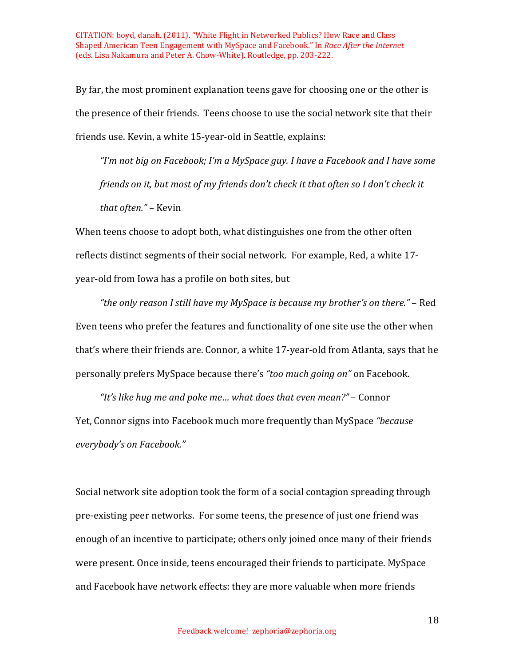By far, the most prominent explanation teens gave for choosing one or the other is the presence of their friends. Teens choose to use the social network site that their friends use. Kevin, a white 15-year-old in Seattle, explains:

"I'm not big on Facebook; I'm a MySpace guy. I have a Facebook and I have some *friends* on *it, but most of my friends don't check it that often so I don't check it that often."* – Kevin 

When teens choose to adopt both, what distinguishes one from the other often reflects distinct segments of their social network. For example, Red, a white 17year-old from Iowa has a profile on both sites, but

"the only reason I still have my MySpace is because my brother's on there." - Red Even teens who prefer the features and functionality of one site use the other when that's where their friends are. Connor, a white 17-year-old from Atlanta, says that he personally prefers MySpace because there's "too much going on" on Facebook.

"It's like hug me and poke me... what does that even mean?" – Connor Yet, Connor signs into Facebook much more frequently than MySpace "because *everybody's on Facebook."* 

Social network site adoption took the form of a social contagion spreading through pre-existing peer networks. For some teens, the presence of just one friend was enough of an incentive to participate; others only joined once many of their friends were present. Once inside, teens encouraged their friends to participate. MySpace and Facebook have network effects: they are more valuable when more friends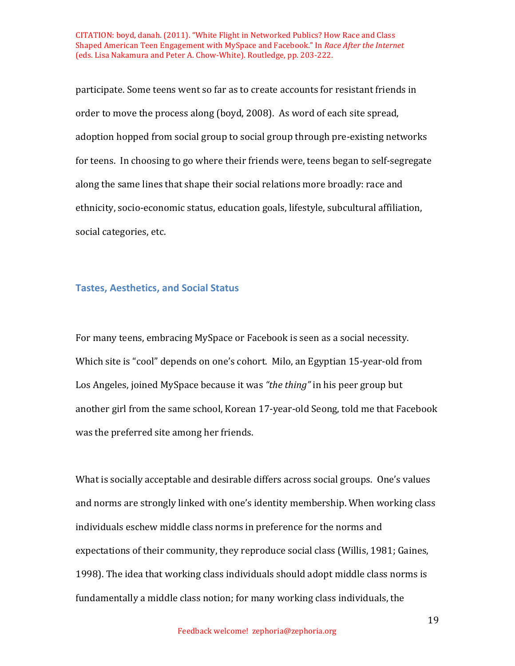participate. Some teens went so far as to create accounts for resistant friends in order to move the process along (boyd, 2008). As word of each site spread, adoption hopped from social group to social group through pre-existing networks for teens. In choosing to go where their friends were, teens began to self-segregate along the same lines that shape their social relations more broadly: race and ethnicity, socio-economic status, education goals, lifestyle, subcultural affiliation, social categories, etc.

## **Tastes, Aesthetics, and Social Status**

For many teens, embracing MySpace or Facebook is seen as a social necessity. Which site is "cool" depends on one's cohort. Milo, an Egyptian 15-year-old from Los Angeles, joined MySpace because it was "the thing" in his peer group but another girl from the same school, Korean 17-year-old Seong, told me that Facebook was the preferred site among her friends.

What is socially acceptable and desirable differs across social groups. One's values and norms are strongly linked with one's identity membership. When working class individuals eschew middle class norms in preference for the norms and expectations of their community, they reproduce social class (Willis, 1981; Gaines, 1998). The idea that working class individuals should adopt middle class norms is fundamentally a middle class notion; for many working class individuals, the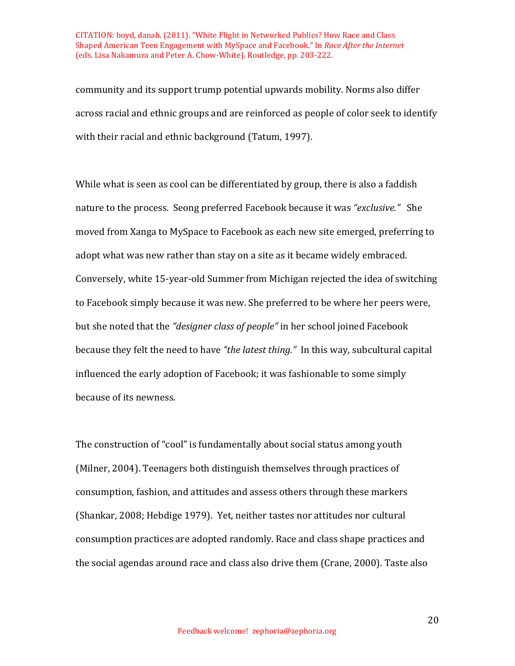community and its support trump potential upwards mobility. Norms also differ across racial and ethnic groups and are reinforced as people of color seek to identify with their racial and ethnic background (Tatum, 1997).

While what is seen as cool can be differentiated by group, there is also a faddish nature to the process. Seong preferred Facebook because it was "exclusive." She moved from Xanga to MySpace to Facebook as each new site emerged, preferring to adopt what was new rather than stay on a site as it became widely embraced. Conversely, white 15-year-old Summer from Michigan rejected the idea of switching to Facebook simply because it was new. She preferred to be where her peers were, but she noted that the *"designer class of people"* in her school joined Facebook because they felt the need to have "the latest thing." In this way, subcultural capital influenced the early adoption of Facebook; it was fashionable to some simply because of its newness.

The construction of "cool" is fundamentally about social status among youth (Milner, 2004). Teenagers both distinguish themselves through practices of consumption, fashion, and attitudes and assess others through these markers (Shankar, 2008; Hebdige 1979). Yet, neither tastes nor attitudes nor cultural consumption practices are adopted randomly. Race and class shape practices and the social agendas around race and class also drive them (Crane, 2000). Taste also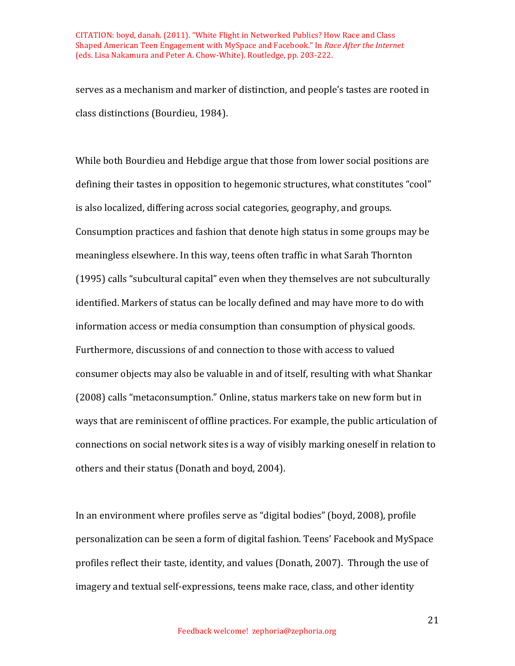serves as a mechanism and marker of distinction, and people's tastes are rooted in class distinctions (Bourdieu, 1984).

While both Bourdieu and Hebdige argue that those from lower social positions are defining their tastes in opposition to hegemonic structures, what constitutes "cool" is also localized, differing across social categories, geography, and groups. Consumption practices and fashion that denote high status in some groups may be meaningless elsewhere. In this way, teens often traffic in what Sarah Thornton (1995) calls "subcultural capital" even when they themselves are not subculturally identified. Markers of status can be locally defined and may have more to do with information access or media consumption than consumption of physical goods. Furthermore, discussions of and connection to those with access to valued consumer objects may also be valuable in and of itself, resulting with what Shankar (2008) calls "metaconsumption." Online, status markers take on new form but in ways that are reminiscent of offline practices. For example, the public articulation of connections on social network sites is a way of visibly marking oneself in relation to others and their status (Donath and boyd, 2004).

In an environment where profiles serve as "digital bodies" (boyd, 2008), profile personalization can be seen a form of digital fashion. Teens' Facebook and MySpace profiles reflect their taste, identity, and values (Donath, 2007). Through the use of imagery and textual self-expressions, teens make race, class, and other identity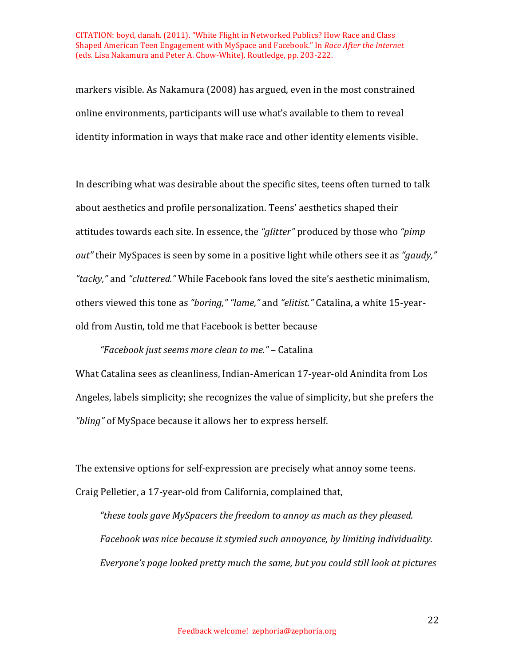markers visible. As Nakamura (2008) has argued, even in the most constrained online environments, participants will use what's available to them to reveal identity information in ways that make race and other identity elements visible.

In describing what was desirable about the specific sites, teens often turned to talk about aesthetics and profile personalization. Teens' aesthetics shaped their attitudes towards each site. In essence, the "glitter" produced by those who "pimp *out*" their MySpaces is seen by some in a positive light while others see it as "*gaudy*," "tacky," and "cluttered." While Facebook fans loved the site's aesthetic minimalism, others viewed this tone as "boring," "lame," and "elitist." Catalina, a white 15-yearold from Austin, told me that Facebook is better because

*"Facebook just seems more clean to me."* – Catalina What Catalina sees as cleanliness, Indian-American 17-year-old Anindita from Los Angeles, labels simplicity; she recognizes the value of simplicity, but she prefers the "*bling*" of MySpace because it allows her to express herself.

The extensive options for self-expression are precisely what annoy some teens. Craig Pelletier, a 17-year-old from California, complained that,

*"these tools gave MySpacers the freedom to annoy as much as they pleased. Facebook was nice because it stymied such annoyance, by limiting individuality. Everyone's page looked pretty much the same, but you could still look at pictures*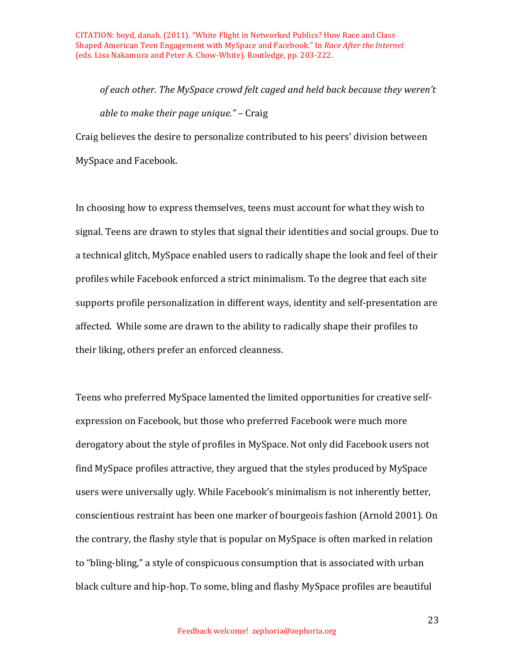of each other. The MySpace crowd felt caged and held back because they weren't *able to make their page unique."* – Craig

Craig believes the desire to personalize contributed to his peers' division between MySpace and Facebook.

In choosing how to express themselves, teens must account for what they wish to signal. Teens are drawn to styles that signal their identities and social groups. Due to a technical glitch, MySpace enabled users to radically shape the look and feel of their profiles while Facebook enforced a strict minimalism. To the degree that each site supports profile personalization in different ways, identity and self-presentation are affected. While some are drawn to the ability to radically shape their profiles to their liking, others prefer an enforced cleanness.

Teens who preferred MySpace lamented the limited opportunities for creative selfexpression on Facebook, but those who preferred Facebook were much more derogatory about the style of profiles in MySpace. Not only did Facebook users not find MySpace profiles attractive, they argued that the styles produced by MySpace users were universally ugly. While Facebook's minimalism is not inherently better, conscientious restraint has been one marker of bourgeois fashion (Arnold 2001). On the contrary, the flashy style that is popular on MySpace is often marked in relation to "bling-bling," a style of conspicuous consumption that is associated with urban black culture and hip-hop. To some, bling and flashy MySpace profiles are beautiful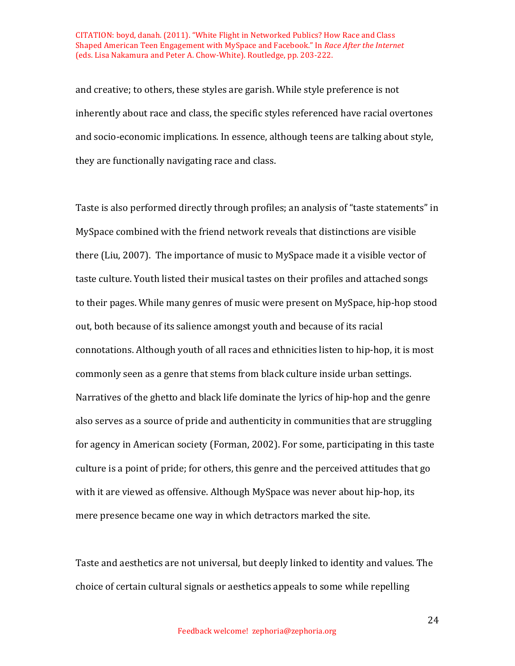and creative; to others, these styles are garish. While style preference is not inherently about race and class, the specific styles referenced have racial overtones and socio-economic implications. In essence, although teens are talking about style, they are functionally navigating race and class.

Taste is also performed directly through profiles; an analysis of "taste statements" in MySpace combined with the friend network reveals that distinctions are visible there (Liu, 2007). The importance of music to MySpace made it a visible vector of taste culture. Youth listed their musical tastes on their profiles and attached songs to their pages. While many genres of music were present on MySpace, hip-hop stood out, both because of its salience amongst youth and because of its racial connotations. Although youth of all races and ethnicities listen to hip-hop, it is most commonly seen as a genre that stems from black culture inside urban settings. Narratives of the ghetto and black life dominate the lyrics of hip-hop and the genre also serves as a source of pride and authenticity in communities that are struggling for agency in American society (Forman, 2002). For some, participating in this taste culture is a point of pride; for others, this genre and the perceived attitudes that go with it are viewed as offensive. Although MySpace was never about hip-hop, its mere presence became one way in which detractors marked the site.

Taste and aesthetics are not universal, but deeply linked to identity and values. The choice of certain cultural signals or aesthetics appeals to some while repelling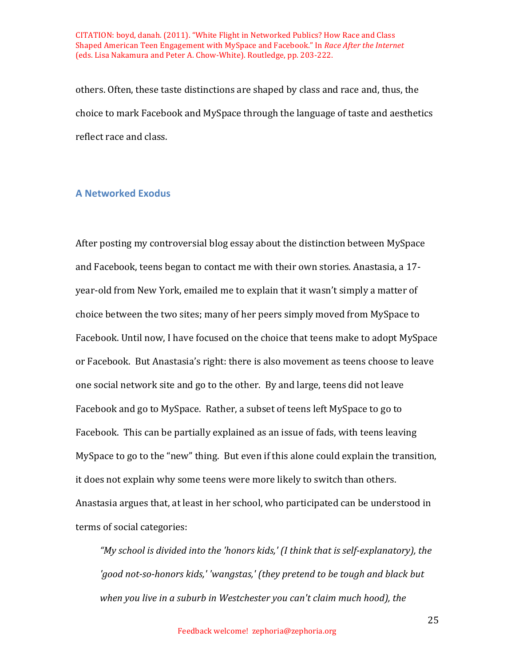others. Often, these taste distinctions are shaped by class and race and, thus, the choice to mark Facebook and MySpace through the language of taste and aesthetics reflect race and class.

### **A Networked Exodus**

After posting my controversial blog essay about the distinction between MySpace and Facebook, teens began to contact me with their own stories. Anastasia, a 17year-old from New York, emailed me to explain that it wasn't simply a matter of choice between the two sites; many of her peers simply moved from MySpace to Facebook. Until now, I have focused on the choice that teens make to adopt MySpace or Facebook. But Anastasia's right: there is also movement as teens choose to leave one social network site and go to the other. By and large, teens did not leave Facebook and go to MySpace. Rather, a subset of teens left MySpace to go to Facebook. This can be partially explained as an issue of fads, with teens leaving MySpace to go to the "new" thing. But even if this alone could explain the transition, it does not explain why some teens were more likely to switch than others. Anastasia argues that, at least in her school, who participated can be understood in terms of social categories:

"My school is divided into the 'honors kids,' (I think that is self-explanatory), the 'good not-so-honors kids,' 'wangstas,' (they pretend to be tough and black but when you live in a suburb in Westchester you can't claim much hood), the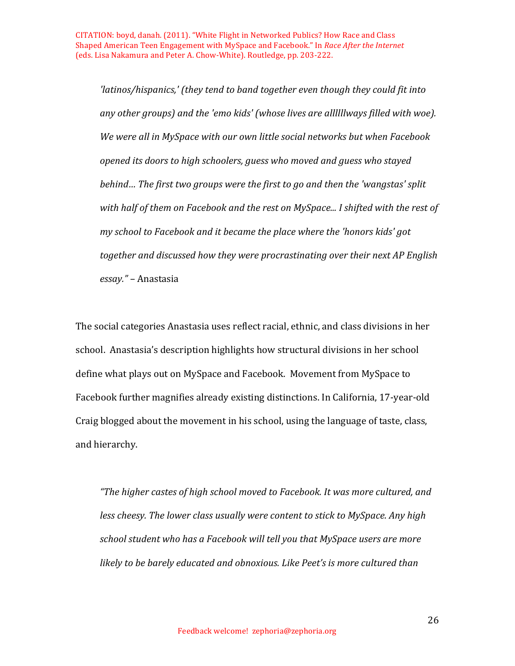*'latinos/hispanics,' (they tend to band together even though they could fit into* any other groups) and the 'emo kids' (whose lives are allilllways filled with woe). We were all in MySpace with our own little social networks but when Facebook *opened its doors to high schoolers, guess who moved and guess who stayed behind...* The first two groups were the first to go and then the 'wangstas' split with half of them on Facebook and the rest on MySpace... I shifted with the rest of *my* school to Facebook and it became the place where the 'honors kids' got *together and discussed how they were procrastinating over their next AP English essay."* – Anastasia 

The social categories Anastasia uses reflect racial, ethnic, and class divisions in her school. Anastasia's description highlights how structural divisions in her school define what plays out on MySpace and Facebook. Movement from MySpace to Facebook further magnifies already existing distinctions. In California, 17-year-old Craig blogged about the movement in his school, using the language of taste, class, and hierarchy.

"The higher castes of high school moved to Facebook. It was more cultured, and *less cheesy. The lower class usually were content to stick to MySpace. Any high* school student who has a Facebook will tell you that MySpace users are more *likely to be barely educated and obnoxious. Like Peet's is more cultured than*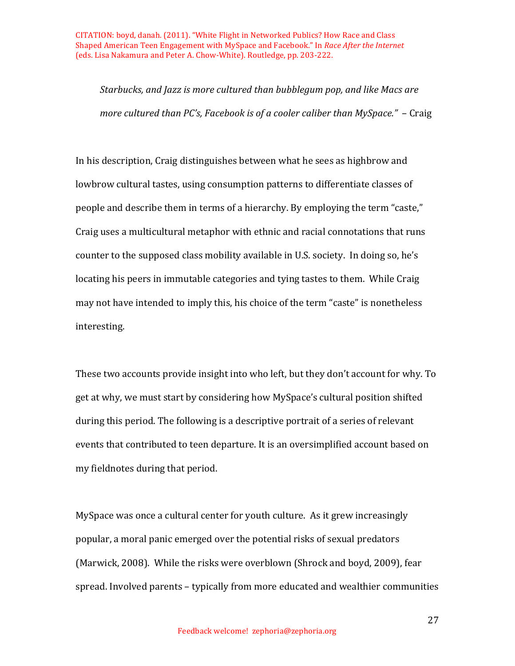*Starbucks, and Jazz is more cultured than bubblegum pop, and like Macs are more cultured than PC's, Facebook is of a cooler caliber than MySpace."* – Craig

In his description, Craig distinguishes between what he sees as highbrow and lowbrow cultural tastes, using consumption patterns to differentiate classes of people and describe them in terms of a hierarchy. By employing the term "caste," Craig uses a multicultural metaphor with ethnic and racial connotations that runs counter to the supposed class mobility available in U.S. society. In doing so, he's locating his peers in immutable categories and tying tastes to them. While Craig may not have intended to imply this, his choice of the term "caste" is nonetheless interesting.

These two accounts provide insight into who left, but they don't account for why. To get at why, we must start by considering how MySpace's cultural position shifted during this period. The following is a descriptive portrait of a series of relevant events that contributed to teen departure. It is an oversimplified account based on my fieldnotes during that period.

MySpace was once a cultural center for youth culture. As it grew increasingly popular, a moral panic emerged over the potential risks of sexual predators (Marwick, 2008). While the risks were overblown (Shrock and boyd, 2009), fear spread. Involved parents - typically from more educated and wealthier communities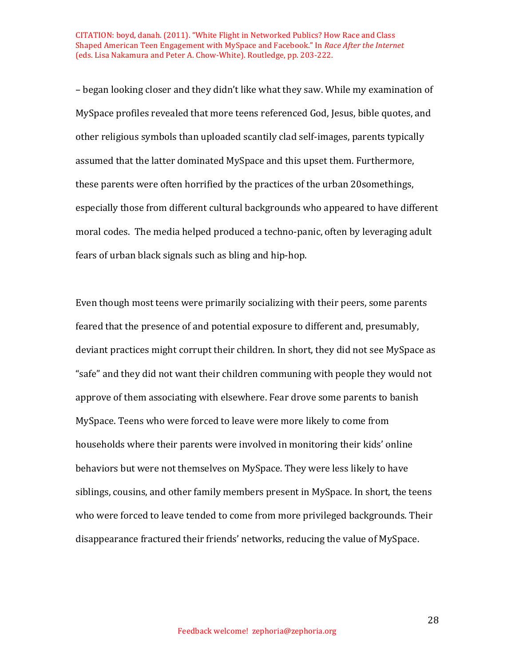– began looking closer and they didn't like what they saw. While my examination of MySpace profiles revealed that more teens referenced God, Jesus, bible quotes, and other religious symbols than uploaded scantily clad self-images, parents typically assumed that the latter dominated MySpace and this upset them. Furthermore, these parents were often horrified by the practices of the urban 20somethings, especially those from different cultural backgrounds who appeared to have different moral codes. The media helped produced a techno-panic, often by leveraging adult fears of urban black signals such as bling and hip-hop.

Even though most teens were primarily socializing with their peers, some parents feared that the presence of and potential exposure to different and, presumably, deviant practices might corrupt their children. In short, they did not see MySpace as "safe" and they did not want their children communing with people they would not approve of them associating with elsewhere. Fear drove some parents to banish MySpace. Teens who were forced to leave were more likely to come from households where their parents were involved in monitoring their kids' online behaviors but were not themselves on MySpace. They were less likely to have siblings, cousins, and other family members present in MySpace. In short, the teens who were forced to leave tended to come from more privileged backgrounds. Their disappearance fractured their friends' networks, reducing the value of MySpace.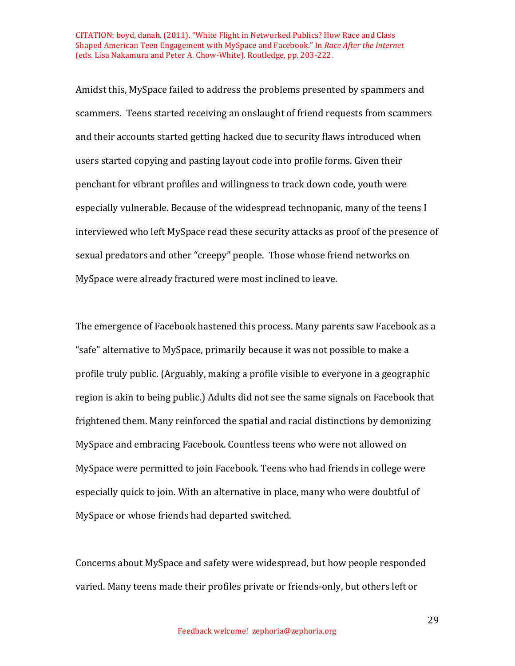Amidst this, MySpace failed to address the problems presented by spammers and scammers. Teens started receiving an onslaught of friend requests from scammers and their accounts started getting hacked due to security flaws introduced when users started copying and pasting layout code into profile forms. Given their penchant for vibrant profiles and willingness to track down code, youth were especially vulnerable. Because of the widespread technopanic, many of the teens I interviewed who left MySpace read these security attacks as proof of the presence of sexual predators and other "creepy" people. Those whose friend networks on MySpace were already fractured were most inclined to leave.

The emergence of Facebook hastened this process. Many parents saw Facebook as a "safe" alternative to MySpace, primarily because it was not possible to make a profile truly public. (Arguably, making a profile visible to everyone in a geographic region is akin to being public.) Adults did not see the same signals on Facebook that frightened them. Many reinforced the spatial and racial distinctions by demonizing MySpace and embracing Facebook. Countless teens who were not allowed on MySpace were permitted to join Facebook. Teens who had friends in college were especially quick to join. With an alternative in place, many who were doubtful of MySpace or whose friends had departed switched.

Concerns about MySpace and safety were widespread, but how people responded varied. Many teens made their profiles private or friends-only, but others left or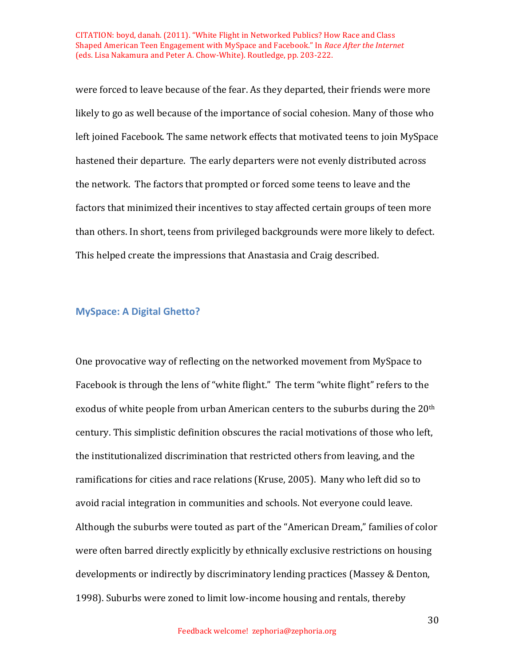were forced to leave because of the fear. As they departed, their friends were more likely to go as well because of the importance of social cohesion. Many of those who left joined Facebook. The same network effects that motivated teens to join MySpace hastened their departure. The early departers were not evenly distributed across the network. The factors that prompted or forced some teens to leave and the factors that minimized their incentives to stay affected certain groups of teen more than others. In short, teens from privileged backgrounds were more likely to defect. This helped create the impressions that Anastasia and Craig described.

## **MySpace: A Digital Ghetto?**

One provocative way of reflecting on the networked movement from MySpace to Facebook is through the lens of "white flight." The term "white flight" refers to the exodus of white people from urban American centers to the suburbs during the  $20<sup>th</sup>$ century. This simplistic definition obscures the racial motivations of those who left. the institutionalized discrimination that restricted others from leaving, and the ramifications for cities and race relations (Kruse, 2005). Many who left did so to avoid racial integration in communities and schools. Not everyone could leave. Although the suburbs were touted as part of the "American Dream," families of color were often barred directly explicitly by ethnically exclusive restrictions on housing developments or indirectly by discriminatory lending practices (Massey & Denton, 1998). Suburbs were zoned to limit low-income housing and rentals, thereby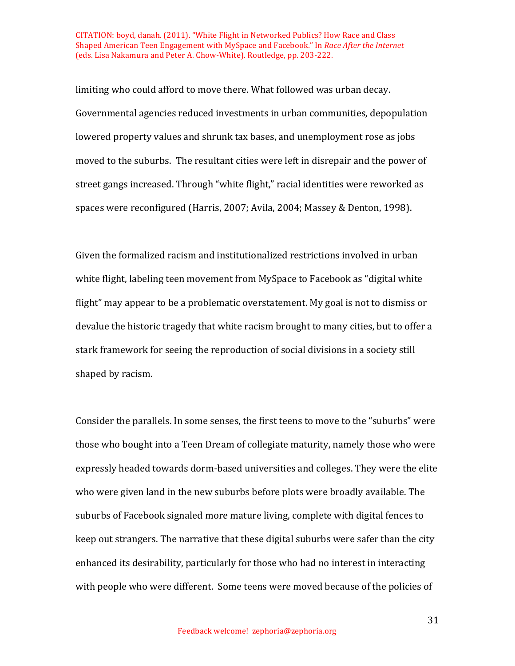limiting who could afford to move there. What followed was urban decay. Governmental agencies reduced investments in urban communities, depopulation lowered property values and shrunk tax bases, and unemployment rose as jobs moved to the suburbs. The resultant cities were left in disrepair and the power of street gangs increased. Through "white flight," racial identities were reworked as spaces were reconfigured (Harris, 2007; Avila, 2004; Massey & Denton, 1998).

Given the formalized racism and institutionalized restrictions involved in urban white flight, labeling teen movement from MySpace to Facebook as "digital white flight" may appear to be a problematic overstatement. My goal is not to dismiss or devalue the historic tragedy that white racism brought to many cities, but to offer a stark framework for seeing the reproduction of social divisions in a society still shaped by racism.

Consider the parallels. In some senses, the first teens to move to the "suburbs" were those who bought into a Teen Dream of collegiate maturity, namely those who were expressly headed towards dorm-based universities and colleges. They were the elite who were given land in the new suburbs before plots were broadly available. The suburbs of Facebook signaled more mature living, complete with digital fences to keep out strangers. The narrative that these digital suburbs were safer than the city enhanced its desirability, particularly for those who had no interest in interacting with people who were different. Some teens were moved because of the policies of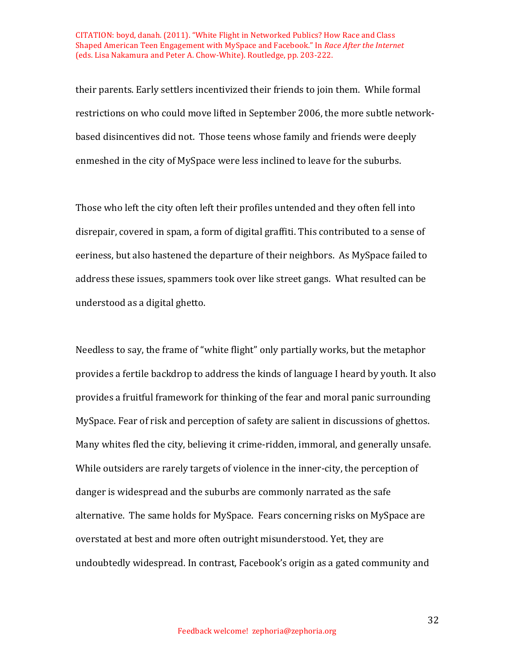their parents. Early settlers incentivized their friends to join them. While formal restrictions on who could move lifted in September 2006, the more subtle networkbased disincentives did not. Those teens whose family and friends were deeply enmeshed in the city of MySpace were less inclined to leave for the suburbs.

Those who left the city often left their profiles untended and they often fell into disrepair, covered in spam, a form of digital graffiti. This contributed to a sense of eeriness, but also hastened the departure of their neighbors. As MySpace failed to address these issues, spammers took over like street gangs. What resulted can be understood as a digital ghetto.

Needless to say, the frame of "white flight" only partially works, but the metaphor provides a fertile backdrop to address the kinds of language I heard by youth. It also provides a fruitful framework for thinking of the fear and moral panic surrounding MySpace. Fear of risk and perception of safety are salient in discussions of ghettos. Many whites fled the city, believing it crime-ridden, immoral, and generally unsafe. While outsiders are rarely targets of violence in the inner-city, the perception of danger is widespread and the suburbs are commonly narrated as the safe alternative. The same holds for MySpace. Fears concerning risks on MySpace are overstated at best and more often outright misunderstood. Yet, they are undoubtedly widespread. In contrast, Facebook's origin as a gated community and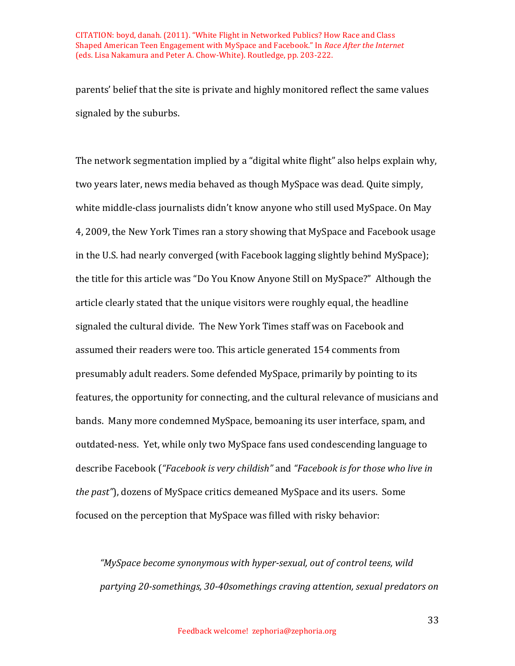parents' belief that the site is private and highly monitored reflect the same values signaled by the suburbs.

The network segmentation implied by a "digital white flight" also helps explain why, two years later, news media behaved as though MySpace was dead. Quite simply, white middle-class journalists didn't know anyone who still used MySpace. On May 4, 2009, the New York Times ran a story showing that MySpace and Facebook usage in the U.S. had nearly converged (with Facebook lagging slightly behind MySpace); the title for this article was "Do You Know Anyone Still on MySpace?" Although the article clearly stated that the unique visitors were roughly equal, the headline signaled the cultural divide. The New York Times staff was on Facebook and assumed their readers were too. This article generated 154 comments from presumably adult readers. Some defended MySpace, primarily by pointing to its features, the opportunity for connecting, and the cultural relevance of musicians and bands. Many more condemned MySpace, bemoaning its user interface, spam, and outdated-ness. Yet, while only two MySpace fans used condescending language to describe Facebook ("Facebook is very childish" and "Facebook is for those who live in *the past*"), dozens of MySpace critics demeaned MySpace and its users. Some focused on the perception that MySpace was filled with risky behavior:

"MySpace become synonymous with hyper-sexual, out of control teens, wild partying 20-somethings, 30-40somethings craving attention, sexual predators on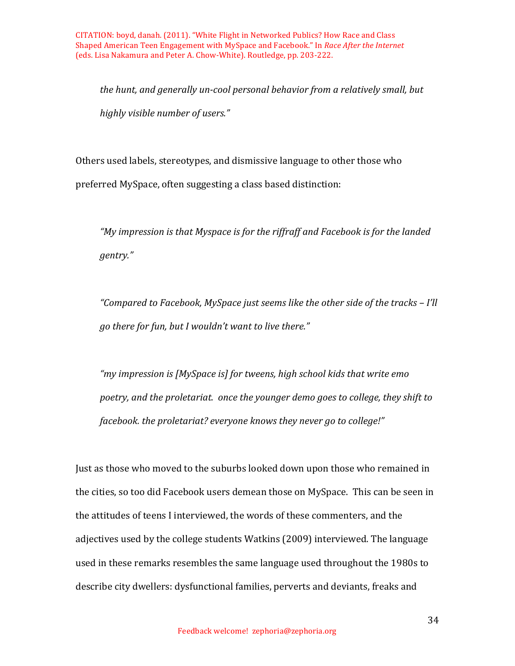*the hunt, and generally un-cool personal behavior from a relatively small, but highly visible number of users."*

Others used labels, stereotypes, and dismissive language to other those who preferred MySpace, often suggesting a class based distinction:

"My impression is that Myspace is for the riffraff and Facebook is for the landed *gentry."*

*"Compared to Facebook, MySpace just seems like the other side of the tracks – I'll go there for fun, but I wouldn't want to live there."* 

"my impression is [MySpace is] for tweens, high school kids that write emo poetry, and the proletariat. once the younger demo goes to college, they shift to *facebook.* the proletariat? everyone knows they never go to college!"

Just as those who moved to the suburbs looked down upon those who remained in the cities, so too did Facebook users demean those on MySpace. This can be seen in the attitudes of teens I interviewed, the words of these commenters, and the adjectives used by the college students Watkins (2009) interviewed. The language used in these remarks resembles the same language used throughout the 1980s to describe city dwellers: dysfunctional families, perverts and deviants, freaks and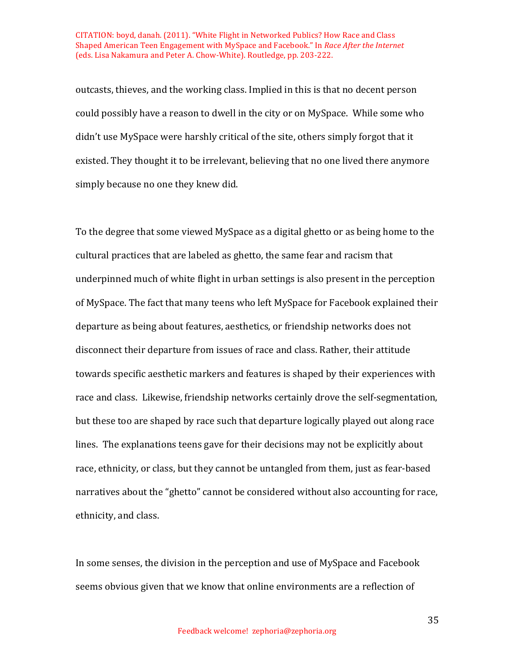outcasts, thieves, and the working class. Implied in this is that no decent person could possibly have a reason to dwell in the city or on MySpace. While some who didn't use MySpace were harshly critical of the site, others simply forgot that it existed. They thought it to be irrelevant, believing that no one lived there anymore simply because no one they knew did.

To the degree that some viewed MySpace as a digital ghetto or as being home to the cultural practices that are labeled as ghetto, the same fear and racism that underpinned much of white flight in urban settings is also present in the perception of MySpace. The fact that many teens who left MySpace for Facebook explained their departure as being about features, aesthetics, or friendship networks does not disconnect their departure from issues of race and class. Rather, their attitude towards specific aesthetic markers and features is shaped by their experiences with race and class. Likewise, friendship networks certainly drove the self-segmentation, but these too are shaped by race such that departure logically played out along race lines. The explanations teens gave for their decisions may not be explicitly about race, ethnicity, or class, but they cannot be untangled from them, just as fear-based narratives about the "ghetto" cannot be considered without also accounting for race, ethnicity, and class.

In some senses, the division in the perception and use of MySpace and Facebook seems obvious given that we know that online environments are a reflection of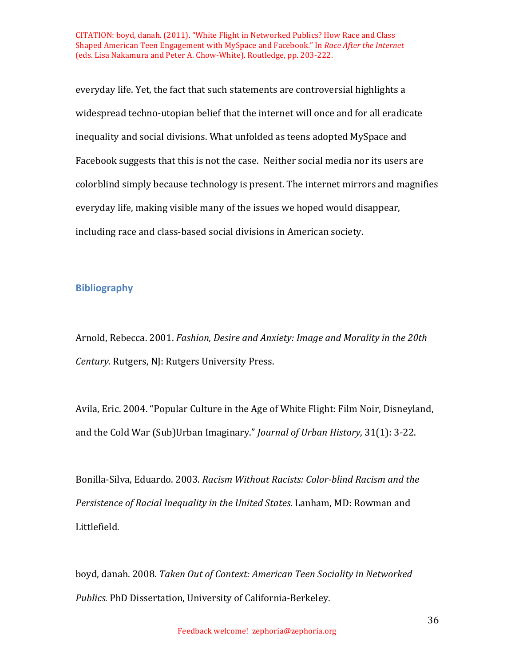everyday life. Yet, the fact that such statements are controversial highlights a widespread techno-utopian belief that the internet will once and for all eradicate inequality and social divisions. What unfolded as teens adopted MySpace and Facebook suggests that this is not the case. Neither social media nor its users are colorblind simply because technology is present. The internet mirrors and magnifies everyday life, making visible many of the issues we hoped would disappear, including race and class-based social divisions in American society.

## **Bibliography**

Arnold, Rebecca. 2001. *Fashion, Desire and Anxiety: Image and Morality in the 20th Century.* Rutgers, NJ: Rutgers University Press.

Avila, Eric. 2004. "Popular Culture in the Age of White Flight: Film Noir, Disneyland, and the Cold War (Sub)Urban Imaginary." *Journal of Urban History*, 31(1): 3-22.

Bonilla-Silva, Eduardo. 2003. *Racism Without Racists: Color-blind Racism and the Persistence of Racial Inequality in the United States. Lanham, MD: Rowman and* Littlefield.

boyd, danah. 2008. Taken Out of Context: American Teen Sociality in Networked *Publics.* PhD Dissertation, University of California-Berkeley.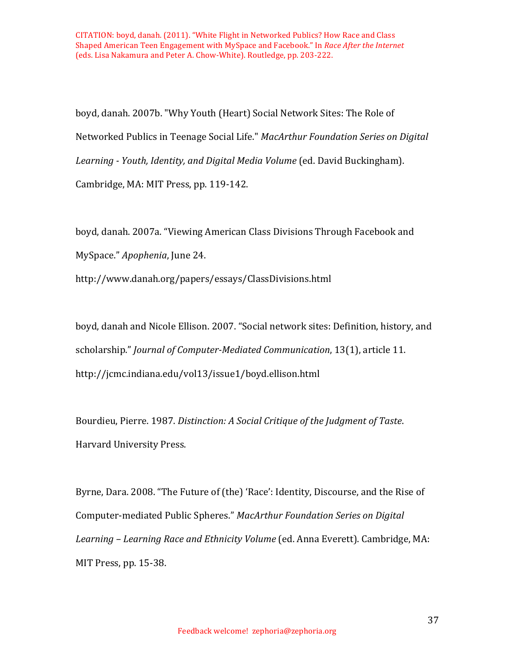boyd, danah. 2007b. "Why Youth (Heart) Social Network Sites: The Role of Networked Publics in Teenage Social Life." *MacArthur Foundation Series on Digital* Learning - Youth, Identity, and Digital Media Volume (ed. David Buckingham). Cambridge, MA: MIT Press, pp. 119-142.

boyd, danah. 2007a. "Viewing American Class Divisions Through Facebook and MySpace." Apophenia, June 24.

http://www.danah.org/papers/essays/ClassDivisions.html

boyd, danah and Nicole Ellison. 2007. "Social network sites: Definition, history, and scholarship." *Journal of Computer-Mediated Communication*, 13(1), article 11. http://jcmc.indiana.edu/vol13/issue1/boyd.ellison.html

Bourdieu, Pierre. 1987. *Distinction: A Social Critique of the Judgment of Taste.* Harvard University Press.

Byrne, Dara. 2008. "The Future of (the) 'Race': Identity, Discourse, and the Rise of Computer-mediated Public Spheres." MacArthur Foundation Series on Digital *Learning* – *Learning Race and Ethnicity Volume* (ed. Anna Everett). Cambridge, MA: MIT Press, pp. 15-38.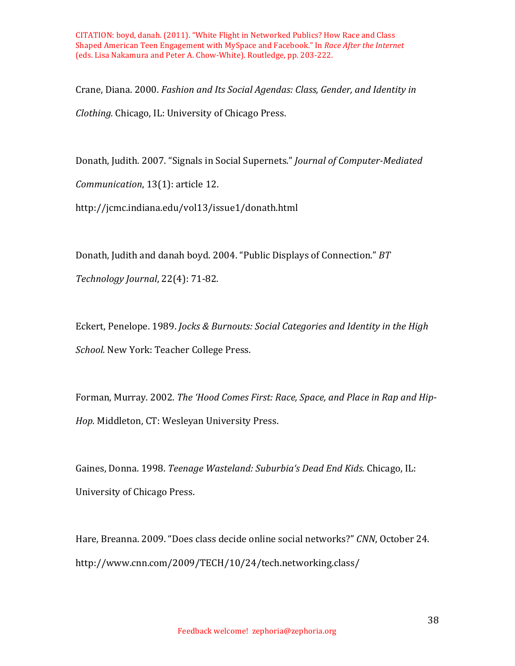Crane, Diana. 2000. *Fashion and Its Social Agendas: Class, Gender, and Identity in Clothing.* Chicago, IL: University of Chicago Press.

Donath, Judith. 2007. "Signals in Social Supernets." *Journal of Computer-Mediated* 

*Communication*, 13(1): article 12.

http://jcmc.indiana.edu/vol13/issue1/donath.html

Donath, Judith and danah boyd. 2004. "Public Displays of Connection." *BT Technology Journal*, 22(4): 71-82.

Eckert, Penelope. 1989. *Jocks & Burnouts: Social Categories and Identity in the High* School. New York: Teacher College Press.

Forman, Murray. 2002. *The 'Hood Comes First: Race, Space, and Place in Rap and Hip-*Hop. Middleton, CT: Wesleyan University Press.

Gaines, Donna. 1998. *Teenage Wasteland: Suburbia's Dead End Kids.* Chicago, IL: University of Chicago Press.

Hare, Breanna. 2009. "Does class decide online social networks?" *CNN*, October 24. http://www.cnn.com/2009/TECH/10/24/tech.networking.class/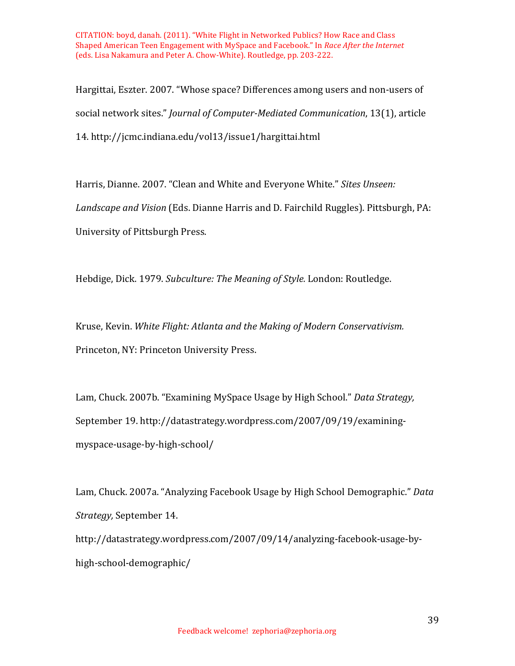Hargittai, Eszter. 2007. "Whose space? Differences among users and non-users of social network sites." *Journal of Computer-Mediated Communication*, 13(1), article 14. http://jcmc.indiana.edu/vol13/issue1/hargittai.html

Harris, Dianne. 2007. "Clean and White and Everyone White." Sites Unseen: Landscape and Vision (Eds. Dianne Harris and D. Fairchild Ruggles). Pittsburgh, PA: University of Pittsburgh Press.

Hebdige, Dick. 1979. *Subculture: The Meaning of Style.* London: Routledge.

Kruse, Kevin. White Flight: Atlanta and the Making of Modern Conservativism. Princeton, NY: Princeton University Press.

Lam, Chuck. 2007b. "Examining MySpace Usage by High School." Data Strategy, September 19. http://datastrategy.wordpress.com/2007/09/19/examiningmyspace-usage-by-high-school/

Lam, Chuck. 2007a. "Analyzing Facebook Usage by High School Demographic." *Data Strategy*, September 14. http://datastrategy.wordpress.com/2007/09/14/analyzing-facebook-usage-byhigh-school-demographic/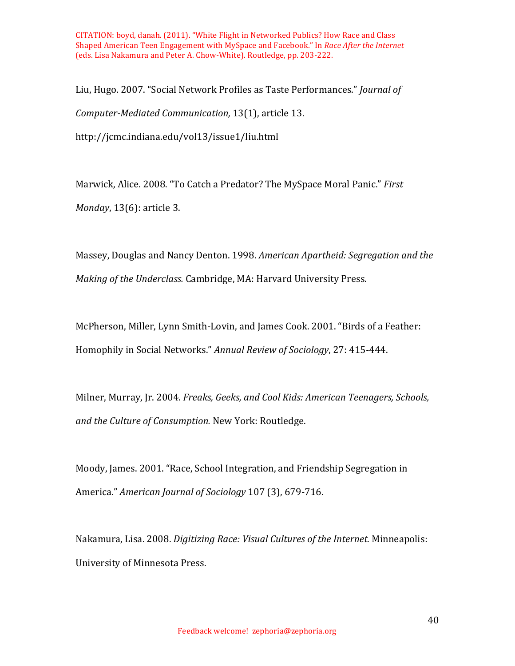Liu, Hugo. 2007. "Social Network Profiles as Taste Performances." *Journal of Computer-Mediated Communication,* 13(1), article 13. http://jcmc.indiana.edu/vol13/issue1/liu.html

Marwick, Alice. 2008. "To Catch a Predator? The MySpace Moral Panic." First *Monday*, 13(6): article 3.

Massey, Douglas and Nancy Denton. 1998. American Apartheid: Segregation and the *Making of the Underclass.* Cambridge, MA: Harvard University Press.

McPherson, Miller, Lynn Smith-Lovin, and James Cook. 2001. "Birds of a Feather: Homophily in Social Networks." Annual Review of Sociology, 27: 415-444.

Milner, Murray, Jr. 2004. *Freaks, Geeks, and Cool Kids: American Teenagers, Schools,* and the Culture of Consumption. New York: Routledge.

Moody, James. 2001. "Race, School Integration, and Friendship Segregation in America." American Journal of Sociology 107 (3), 679-716.

Nakamura, Lisa. 2008. *Digitizing Race: Visual Cultures of the Internet*. Minneapolis: University of Minnesota Press.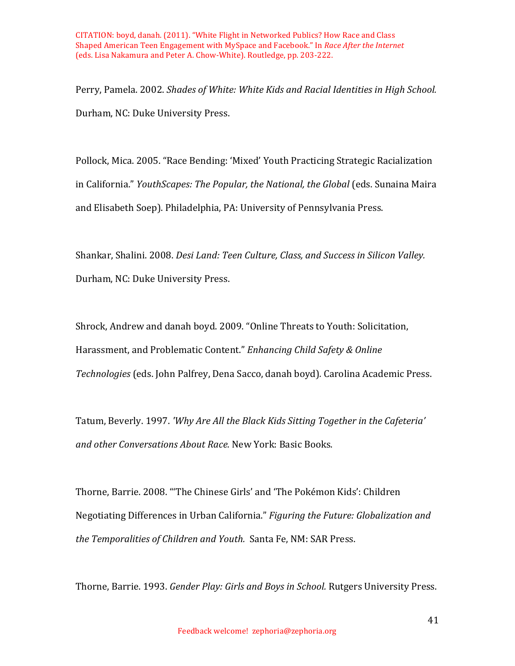Perry, Pamela. 2002. *Shades of White: White Kids and Racial Identities in High School.* Durham, NC: Duke University Press.

Pollock, Mica. 2005. "Race Bending: 'Mixed' Youth Practicing Strategic Racialization in California." *YouthScapes: The Popular, the National, the Global* (eds. Sunaina Maira and Elisabeth Soep). Philadelphia, PA: University of Pennsylvania Press.

Shankar, Shalini. 2008. *Desi Land: Teen Culture, Class, and Success in Silicon Valley.* Durham, NC: Duke University Press.

Shrock, Andrew and danah boyd. 2009. "Online Threats to Youth: Solicitation, Harassment, and Problematic Content." *Enhancing Child Safety & Online Technologies* (eds. John Palfrey, Dena Sacco, danah boyd). Carolina Academic Press.

Tatum, Beverly. 1997. 'Why Are All the Black Kids Sitting Together in the Cafeteria' *and other Conversations About Race.* New York: Basic Books.

Thorne, Barrie. 2008. "'The Chinese Girls' and 'The Pokémon Kids': Children Negotiating Differences in Urban California." *Figuring the Future: Globalization and the Temporalities of Children and Youth.* Santa Fe, NM: SAR Press.

Thorne, Barrie. 1993. *Gender Play: Girls and Boys in School.* Rutgers University Press.